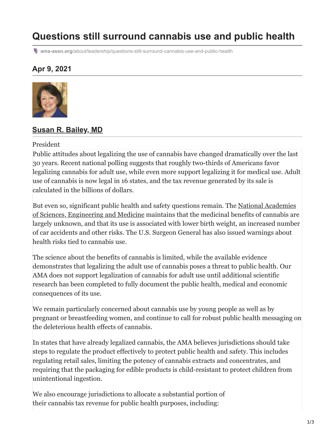# **Questions still surround cannabis use and public health**

**ama-assn.org**[/about/leadership/questions-still-surround-cannabis-use-and-public-health](https://www.ama-assn.org/about/leadership/questions-still-surround-cannabis-use-and-public-health)

### **Apr 9, 2021**



#### **[Susan R. Bailey, MD](https://www.ama-assn.org/about/board-trustees/susan-r-bailey-md)**

#### President

Public attitudes about legalizing the use of cannabis have changed dramatically over the last 30 years. Recent national polling suggests that roughly two-thirds of Americans favor legalizing cannabis for adult use, while even more support legalizing it for medical use. Adult use of cannabis is now legal in 16 states, and the tax revenue generated by its sale is calculated in the billions of dollars.

But even so, significant public health and safety questions remain. The National Academies [of Sciences, Engineering and Medicine maintains that the medicinal benefits of cannabis are](https://www.nationalacademies.org/based-on-science/cannabis-the-medicinal-benefits-of-cannabis-are-mostly-unknown) largely unknown, and that its use is associated with lower birth weight, an increased number of car accidents and other risks. The U.S. Surgeon General has also issued warnings about health risks tied to cannabis use.

The science about the benefits of cannabis is limited, while the available evidence demonstrates that legalizing the adult use of cannabis poses a threat to public health. Our AMA does not support legalization of cannabis for adult use until additional scientific research has been completed to fully document the public health, medical and economic consequences of its use.

We remain particularly concerned about cannabis use by young people as well as by pregnant or breastfeeding women, and continue to call for robust public health messaging on the deleterious health effects of cannabis.

In states that have already legalized cannabis, the AMA believes jurisdictions should take steps to regulate the product effectively to protect public health and safety. This includes regulating retail sales, limiting the potency of cannabis extracts and concentrates, and requiring that the packaging for edible products is child-resistant to protect children from unintentional ingestion.

We also encourage jurisdictions to allocate a substantial portion of their cannabis tax revenue for public health purposes, including: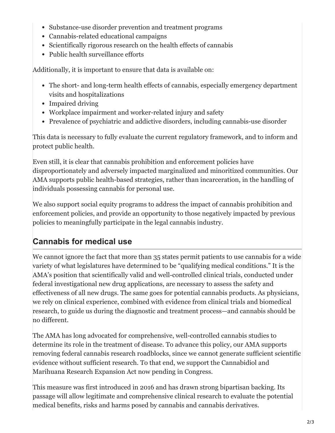- Substance-use disorder prevention and treatment programs
- Cannabis-related educational campaigns
- Scientifically rigorous research on the health effects of cannabis
- Public health surveillance efforts

Additionally, it is important to ensure that data is available on:

- The short- and long-term health effects of cannabis, especially emergency department visits and hospitalizations
- Impaired driving
- Workplace impairment and worker-related injury and safety
- Prevalence of psychiatric and addictive disorders, including cannabis-use disorder

This data is necessary to fully evaluate the current regulatory framework, and to inform and protect public health.

Even still, it is clear that cannabis prohibition and enforcement policies have disproportionately and adversely impacted marginalized and minoritized communities. Our AMA supports public health-based strategies, rather than incarceration, in the handling of individuals possessing cannabis for personal use.

We also support social equity programs to address the impact of cannabis prohibition and enforcement policies, and provide an opportunity to those negatively impacted by previous policies to meaningfully participate in the legal cannabis industry.

## **Cannabis for medical use**

We cannot ignore the fact that more than 35 states permit patients to use cannabis for a wide variety of what legislatures have determined to be "qualifying medical conditions." It is the AMA's position that scientifically valid and well-controlled clinical trials, conducted under federal investigational new drug applications, are necessary to assess the safety and effectiveness of all new drugs. The same goes for potential cannabis products. As physicians, we rely on clinical experience, combined with evidence from clinical trials and biomedical research, to guide us during the diagnostic and treatment process—and cannabis should be no different.

The AMA has long advocated for comprehensive, well-controlled cannabis studies to determine its role in the treatment of disease. To advance this policy, our AMA supports removing federal cannabis research roadblocks, since we cannot generate sufficient scientific evidence without sufficient research. To that end, we support the Cannabidiol and Marihuana Research Expansion Act now pending in Congress.

This measure was first introduced in 2016 and has drawn strong bipartisan backing. Its passage will allow legitimate and comprehensive clinical research to evaluate the potential medical benefits, risks and harms posed by cannabis and cannabis derivatives.